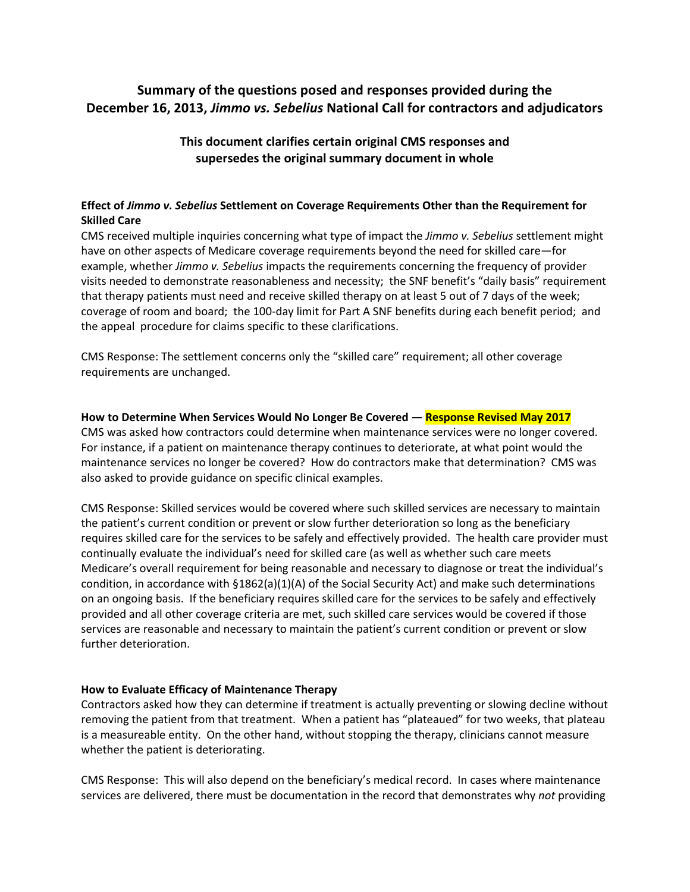# **Summary of the questions posed and responses provided during the December 16, 2013,** *Jimmo vs. Sebelius* **National Call for contractors and adjudicators**

## **This document clarifies certain original CMS responses and supersedes the original summary document in whole**

### **Effect of** *Jimmo v. Sebelius* **Settlement on Coverage Requirements Other than the Requirement for Skilled Care**

CMS received multiple inquiries concerning what type of impact the *Jimmo v. Sebelius* settlement might have on other aspects of Medicare coverage requirements beyond the need for skilled care—for example, whether *Jimmo v. Sebelius* impacts the requirements concerning the frequency of provider visits needed to demonstrate reasonableness and necessity; the SNF benefit's "daily basis" requirement that therapy patients must need and receive skilled therapy on at least 5 out of 7 days of the week; coverage of room and board; the 100-day limit for Part A SNF benefits during each benefit period; and the appeal procedure for claims specific to these clarifications.

CMS Response: The settlement concerns only the "skilled care" requirement; all other coverage requirements are unchanged.

#### **How to Determine When Services Would No Longer Be Covered — Response Revised May 2017**

CMS was asked how contractors could determine when maintenance services were no longer covered. For instance, if a patient on maintenance therapy continues to deteriorate, at what point would the maintenance services no longer be covered? How do contractors make that determination? CMS was also asked to provide guidance on specific clinical examples.

CMS Response: Skilled services would be covered where such skilled services are necessary to maintain the patient's current condition or prevent or slow further deterioration so long as the beneficiary requires skilled care for the services to be safely and effectively provided. The health care provider must continually evaluate the individual's need for skilled care (as well as whether such care meets Medicare's overall requirement for being reasonable and necessary to diagnose or treat the individual's condition, in accordance with §1862(a)(1)(A) of the Social Security Act) and make such determinations on an ongoing basis. If the beneficiary requires skilled care for the services to be safely and effectively provided and all other coverage criteria are met, such skilled care services would be covered if those services are reasonable and necessary to maintain the patient's current condition or prevent or slow further deterioration.

#### **How to Evaluate Efficacy of Maintenance Therapy**

Contractors asked how they can determine if treatment is actually preventing or slowing decline without removing the patient from that treatment. When a patient has "plateaued" for two weeks, that plateau is a measureable entity. On the other hand, without stopping the therapy, clinicians cannot measure whether the patient is deteriorating.

CMS Response: This will also depend on the beneficiary's medical record. In cases where maintenance services are delivered, there must be documentation in the record that demonstrates why *not* providing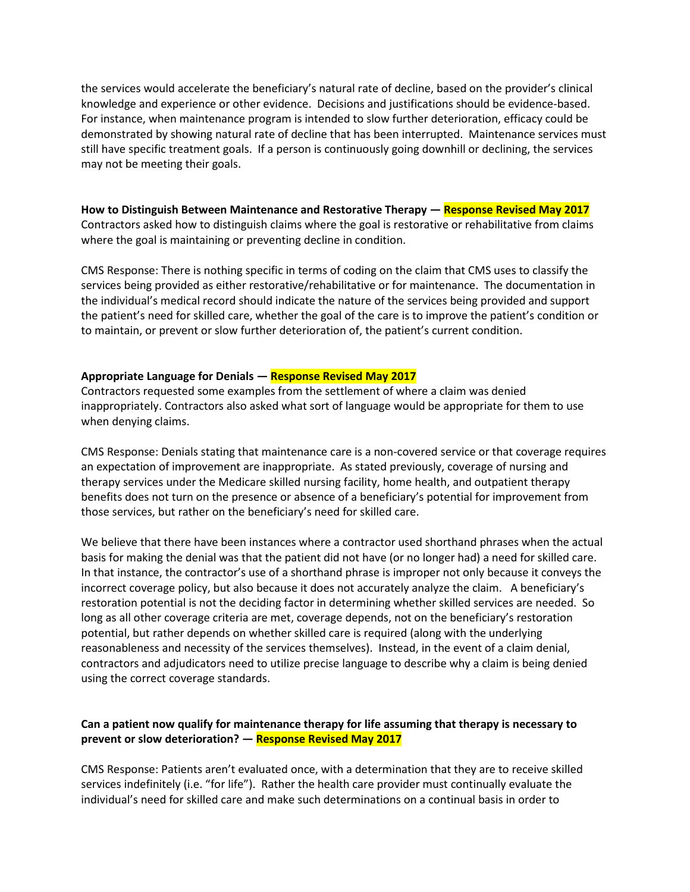the services would accelerate the beneficiary's natural rate of decline, based on the provider's clinical knowledge and experience or other evidence. Decisions and justifications should be evidence-based. For instance, when maintenance program is intended to slow further deterioration, efficacy could be demonstrated by showing natural rate of decline that has been interrupted. Maintenance services must still have specific treatment goals. If a person is continuously going downhill or declining, the services may not be meeting their goals.

**How to Distinguish Between Maintenance and Restorative Therapy — Response Revised May 2017** Contractors asked how to distinguish claims where the goal is restorative or rehabilitative from claims where the goal is maintaining or preventing decline in condition.

CMS Response: There is nothing specific in terms of coding on the claim that CMS uses to classify the services being provided as either restorative/rehabilitative or for maintenance. The documentation in the individual's medical record should indicate the nature of the services being provided and support the patient's need for skilled care, whether the goal of the care is to improve the patient's condition or to maintain, or prevent or slow further deterioration of, the patient's current condition.

#### **Appropriate Language for Denials — Response Revised May 2017**

Contractors requested some examples from the settlement of where a claim was denied inappropriately. Contractors also asked what sort of language would be appropriate for them to use when denying claims.

CMS Response: Denials stating that maintenance care is a non-covered service or that coverage requires an expectation of improvement are inappropriate. As stated previously, coverage of nursing and therapy services under the Medicare skilled nursing facility, home health, and outpatient therapy benefits does not turn on the presence or absence of a beneficiary's potential for improvement from those services, but rather on the beneficiary's need for skilled care.

We believe that there have been instances where a contractor used shorthand phrases when the actual basis for making the denial was that the patient did not have (or no longer had) a need for skilled care. In that instance, the contractor's use of a shorthand phrase is improper not only because it conveys the incorrect coverage policy, but also because it does not accurately analyze the claim. A beneficiary's restoration potential is not the deciding factor in determining whether skilled services are needed. So long as all other coverage criteria are met, coverage depends, not on the beneficiary's restoration potential, but rather depends on whether skilled care is required (along with the underlying reasonableness and necessity of the services themselves). Instead, in the event of a claim denial, contractors and adjudicators need to utilize precise language to describe why a claim is being denied using the correct coverage standards.

#### **Can a patient now qualify for maintenance therapy for life assuming that therapy is necessary to prevent or slow deterioration? — Response Revised May 2017**

CMS Response: Patients aren't evaluated once, with a determination that they are to receive skilled services indefinitely (i.e. "for life"). Rather the health care provider must continually evaluate the individual's need for skilled care and make such determinations on a continual basis in order to